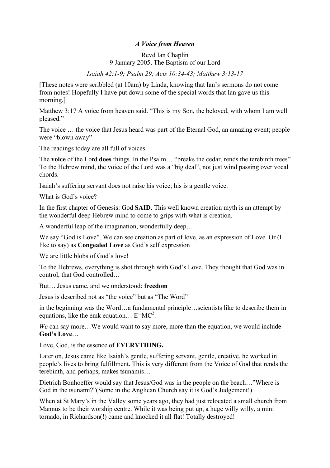## *A Voice from Heaven*

## Revd Ian Chaplin 9 January 2005, The Baptism of our Lord

## *Isaiah 42:1-9; Psalm 29; Acts 10:34-43; Matthew 3:13-17*

[These notes were scribbled (at 10am) by Linda, knowing that Ian's sermons do not come from notes! Hopefully I have put down some of the special words that Ian gave us this morning.]

Matthew 3:17 A voice from heaven said. "This is my Son, the beloved, with whom I am well pleased."

The voice … the voice that Jesus heard was part of the Eternal God, an amazing event; people were "blown away"

The readings today are all full of voices.

The **voice** of the Lord **does** things. In the Psalm… "breaks the cedar, rends the terebinth trees" To the Hebrew mind, the voice of the Lord was a "big deal", not just wind passing over vocal chords.

Isaiah's suffering servant does not raise his voice; his is a gentle voice.

What is God's voice?

In the first chapter of Genesis: God **SAID**. This well known creation myth is an attempt by the wonderful deep Hebrew mind to come to grips with what is creation.

A wonderful leap of the imagination, wonderfully deep…

We say "God is Love". We can see creation as part of love, as an expression of Love. Or (I like to say) as **Congealed Love** as God's self expression

We are little blobs of God's love!

To the Hebrews, everything is shot through with God's Love. They thought that God was in control, that God controlled…

But… Jesus came, and we understood: **freedom**

Jesus is described not as "the voice" but as "The Word"

in the beginning was the Word…a fundamental principle…scientists like to describe them in equations, like the emk equation...  $E=MC^2$ .

*We* can say more…We would want to say more, more than the equation, we would include **God's Love**…

Love, God, is the essence of **EVERYTHING.**

Later on, Jesus came like Isaiah's gentle, suffering servant, gentle, creative, he worked in people's lives to bring fulfillment. This is very different from the Voice of God that rends the terebinth, and perhaps, makes tsunamis…

Dietrich Bonhoeffer would say that Jesus/God was in the people on the beach…"Where is God in the tsunami?"(Some in the Anglican Church say it is God's Judgement!)

When at St Mary's in the Valley some years ago, they had just relocated a small church from Mannus to be their worship centre. While it was being put up, a huge willy willy, a mini tornado, in Richardson(!) came and knocked it all flat! Totally destroyed!